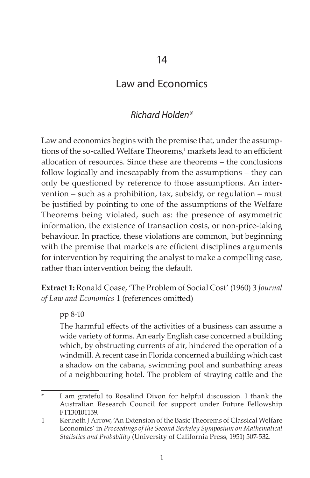14

# Law and Economics

# *Richard Holden\**

Law and economics begins with the premise that, under the assumptions of the so-called Welfare Theorems,<sup>1</sup> markets lead to an efficient allocation of resources. Since these are theorems – the conclusions follow logically and inescapably from the assumptions – they can only be questioned by reference to those assumptions. An intervention – such as a prohibition, tax, subsidy, or regulation – must be justified by pointing to one of the assumptions of the Welfare Theorems being violated, such as: the presence of asymmetric information, the existence of transaction costs, or non-price-taking behaviour. In practice, these violations are common, but beginning with the premise that markets are efficient disciplines arguments for intervention by requiring the analyst to make a compelling case, rather than intervention being the default.

**Extract 1:** Ronald Coase, 'The Problem of Social Cost' (1960) 3 *Journal of Law and Economics* 1 (references omitted)

#### pp 8-10

The harmful effects of the activities of a business can assume a wide variety of forms. An early English case concerned a building which, by obstructing currents of air, hindered the operation of a windmill. A recent case in Florida concerned a building which cast a shadow on the cabana, swimming pool and sunbathing areas of a neighbouring hotel. The problem of straying cattle and the

<sup>\*</sup> I am grateful to Rosalind Dixon for helpful discussion. I thank the Australian Research Council for support under Future Fellowship FT130101159.

<sup>1</sup> Kenneth J Arrow, 'An Extension of the Basic Theorems of Classical Welfare Economics' in *Proceedings of the Second Berkeley Symposium on Mathematical Statistics and Probability* (University of California Press, 1951) 507-532.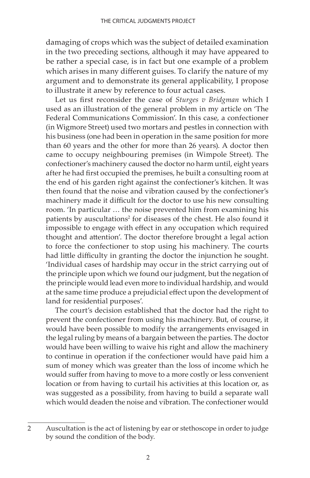damaging of crops which was the subject of detailed examination in the two preceding sections, although it may have appeared to be rather a special case, is in fact but one example of a problem which arises in many different guises. To clarify the nature of my argument and to demonstrate its general applicability, I propose to illustrate it anew by reference to four actual cases.

Let us first reconsider the case of *Sturges v Bridgman* which I used as an illustration of the general problem in my article on 'The Federal Communications Commission'. In this case, a confectioner (in Wigmore Street) used two mortars and pestles in connection with his business (one had been in operation in the same position for more than 60 years and the other for more than 26 years). A doctor then came to occupy neighbouring premises (in Wimpole Street). The confectioner's machinery caused the doctor no harm until, eight years after he had first occupied the premises, he built a consulting room at the end of his garden right against the confectioner's kitchen. It was then found that the noise and vibration caused by the confectioner's machinery made it difficult for the doctor to use his new consulting room. 'In particular … the noise prevented him from examining his patients by auscultations<sup>2</sup> for diseases of the chest. He also found it impossible to engage with effect in any occupation which required thought and attention'. The doctor therefore brought a legal action to force the confectioner to stop using his machinery. The courts had little difficulty in granting the doctor the injunction he sought. 'Individual cases of hardship may occur in the strict carrying out of the principle upon which we found our judgment, but the negation of the principle would lead even more to individual hardship, and would at the same time produce a prejudicial effect upon the development of land for residential purposes'.

The court's decision established that the doctor had the right to prevent the confectioner from using his machinery. But, of course, it would have been possible to modify the arrangements envisaged in the legal ruling by means of a bargain between the parties. The doctor would have been willing to waive his right and allow the machinery to continue in operation if the confectioner would have paid him a sum of money which was greater than the loss of income which he would suffer from having to move to a more costly or less convenient location or from having to curtail his activities at this location or, as was suggested as a possibility, from having to build a separate wall which would deaden the noise and vibration. The confectioner would

<sup>2</sup> Auscultation is the act of listening by ear or stethoscope in order to judge by sound the condition of the body.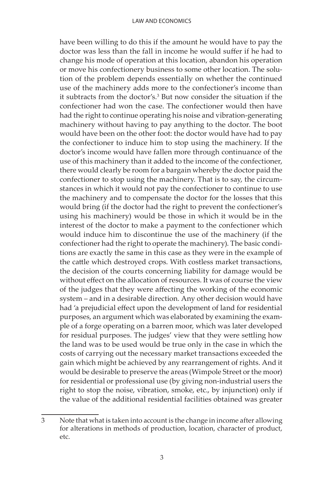have been willing to do this if the amount he would have to pay the doctor was less than the fall in income he would suffer if he had to change his mode of operation at this location, abandon his operation or move his confectionery business to some other location. The solution of the problem depends essentially on whether the continued use of the machinery adds more to the confectioner's income than it subtracts from the doctor's.3 But now consider the situation if the confectioner had won the case. The confectioner would then have had the right to continue operating his noise and vibration-generating machinery without having to pay anything to the doctor. The boot would have been on the other foot: the doctor would have had to pay the confectioner to induce him to stop using the machinery. If the doctor's income would have fallen more through continuance of the use of this machinery than it added to the income of the confectioner, there would clearly be room for a bargain whereby the doctor paid the confectioner to stop using the machinery. That is to say, the circumstances in which it would not pay the confectioner to continue to use the machinery and to compensate the doctor for the losses that this would bring (if the doctor had the right to prevent the confectioner's using his machinery) would be those in which it would be in the interest of the doctor to make a payment to the confectioner which would induce him to discontinue the use of the machinery (if the confectioner had the right to operate the machinery). The basic conditions are exactly the same in this case as they were in the example of the cattle which destroyed crops. With costless market transactions, the decision of the courts concerning liability for damage would be without effect on the allocation of resources. It was of course the view of the judges that they were affecting the working of the economic system – and in a desirable direction. Any other decision would have had 'a prejudicial effect upon the development of land for residential purposes, an argument which was elaborated by examining the example of a forge operating on a barren moor, which was later developed for residual purposes. The judges' view that they were settling how the land was to be used would be true only in the case in which the costs of carrying out the necessary market transactions exceeded the gain which might be achieved by any rearrangement of rights. And it would be desirable to preserve the areas (Wimpole Street or the moor) for residential or professional use (by giving non-industrial users the right to stop the noise, vibration, smoke, etc., by injunction) only if the value of the additional residential facilities obtained was greater

<sup>3</sup> Note that what is taken into account is the change in income after allowing for alterations in methods of production, location, character of product, etc.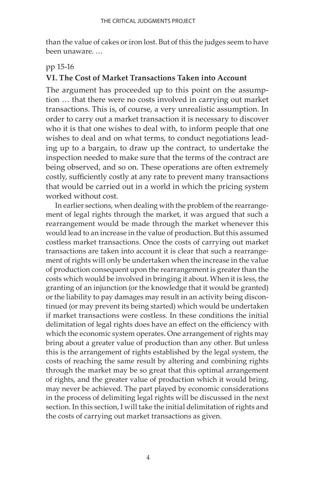than the value of cakes or iron lost. But of this the judges seem to have been unaware. …

#### pp 15-16

### **VI. The Cost of Market Transactions Taken into Account**

The argument has proceeded up to this point on the assumption … that there were no costs involved in carrying out market transactions. This is, of course, a very unrealistic assumption. In order to carry out a market transaction it is necessary to discover who it is that one wishes to deal with, to inform people that one wishes to deal and on what terms, to conduct negotiations leading up to a bargain, to draw up the contract, to undertake the inspection needed to make sure that the terms of the contract are being observed, and so on. These operations are often extremely costly, sufficiently costly at any rate to prevent many transactions that would be carried out in a world in which the pricing system worked without cost.

In earlier sections, when dealing with the problem of the rearrangement of legal rights through the market, it was argued that such a rearrangement would be made through the market whenever this would lead to an increase in the value of production. But this assumed costless market transactions. Once the costs of carrying out market transactions are taken into account it is clear that such a rearrangement of rights will only be undertaken when the increase in the value of production consequent upon the rearrangement is greater than the costs which would be involved in bringing it about. When it is less, the granting of an injunction (or the knowledge that it would be granted) or the liability to pay damages may result in an activity being discontinued (or may prevent its being started) which would be undertaken if market transactions were costless. In these conditions the initial delimitation of legal rights does have an effect on the efficiency with which the economic system operates. One arrangement of rights may bring about a greater value of production than any other. But unless this is the arrangement of rights established by the legal system, the costs of reaching the same result by altering and combining rights through the market may be so great that this optimal arrangement of rights, and the greater value of production which it would bring, may never be achieved. The part played by economic considerations in the process of delimiting legal rights will be discussed in the next section. In this section, I will take the initial delimitation of rights and the costs of carrying out market transactions as given.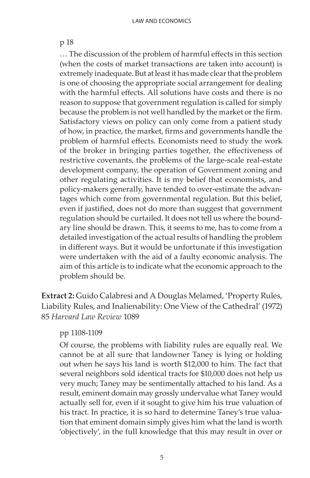p 18

… The discussion of the problem of harmful effects in this section (when the costs of market transactions are taken into account) is extremely inadequate. But at least it has made clear that the problem is one of choosing the appropriate social arrangement for dealing with the harmful effects. All solutions have costs and there is no reason to suppose that government regulation is called for simply because the problem is not well handled by the market or the firm. Satisfactory views on policy can only come from a patient study of how, in practice, the market, firms and governments handle the problem of harmful effects. Economists need to study the work of the broker in bringing parties together, the effectiveness of restrictive covenants, the problems of the large-scale real-estate development company, the operation of Government zoning and other regulating activities. It is my belief that economists, and policy-makers generally, have tended to over-estimate the advantages which come from governmental regulation. But this belief, even if justified, does not do more than suggest that government regulation should be curtailed. It does not tell us where the boundary line should be drawn. This, it seems to me, has to come from a detailed investigation of the actual results of handling the problem in different ways. But it would be unfortunate if this investigation were undertaken with the aid of a faulty economic analysis. The aim of this article is to indicate what the economic approach to the problem should be.

**Extract 2:** Guido Calabresi and A Douglas Melamed, 'Property Rules, Liability Rules, and Inalienability: One View of the Cathedral' (1972) 85 *Harvard Law Review* 1089

#### pp 1108-1109

Of course, the problems with liability rules are equally real. We cannot be at all sure that landowner Taney is lying or holding out when he says his land is worth \$12,000 to him. The fact that several neighbors sold identical tracts for \$10,000 does not help us very much; Taney may be sentimentally attached to his land. As a result, eminent domain may grossly undervalue what Taney would actually sell for, even if it sought to give him his true valuation of his tract. In practice, it is so hard to determine Taney's true valuation that eminent domain simply gives him what the land is worth 'objectively', in the full knowledge that this may result in over or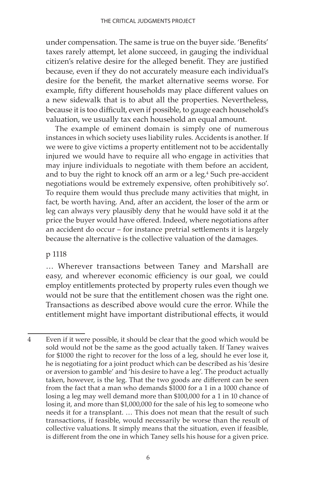under compensation. The same is true on the buyer side. 'Benefits' taxes rarely attempt, let alone succeed, in gauging the individual citizen's relative desire for the alleged benefit. They are justified because, even if they do not accurately measure each individual's desire for the benefit, the market alternative seems worse. For example, fifty different households may place different values on a new sidewalk that is to abut all the properties. Nevertheless, because it is too difficult, even if possible, to gauge each household's valuation, we usually tax each household an equal amount.

The example of eminent domain is simply one of numerous instances in which society uses liability rules. Accidents is another. If we were to give victims a property entitlement not to be accidentally injured we would have to require all who engage in activities that may injure individuals to negotiate with them before an accident, and to buy the right to knock off an arm or a leg.<sup>4</sup> Such pre-accident negotiations would be extremely expensive, often prohibitively so'. To require them would thus preclude many activities that might, in fact, be worth having. And, after an accident, the loser of the arm or leg can always very plausibly deny that he would have sold it at the price the buyer would have offered. Indeed, where negotiations after an accident do occur – for instance pretrial settlements it is largely because the alternative is the collective valuation of the damages.

#### p 1118

… Wherever transactions between Taney and Marshall are easy, and wherever economic efficiency is our goal, we could employ entitlements protected by property rules even though we would not be sure that the entitlement chosen was the right one. Transactions as described above would cure the error. While the entitlement might have important distributional effects, it would

<sup>4</sup> Even if it were possible, it should be clear that the good which would be sold would not be the same as the good actually taken. If Taney waives for \$1000 the right to recover for the loss of a leg, should he ever lose it, he is negotiating for a joint product which can be described as his 'desire or aversion to gamble' and 'his desire to have a leg'. The product actually taken, however, is the leg. That the two goods are different can be seen from the fact that a man who demands \$1000 for a 1 in a 1000 chance of losing a leg may well demand more than \$100,000 for a 1 in 10 chance of losing it, and more than \$1,000,000 for the sale of his leg to someone who needs it for a transplant. … This does not mean that the result of such transactions, if feasible, would necessarily be worse than the result of collective valuations. It simply means that the situation, even if feasible, is different from the one in which Taney sells his house for a given price.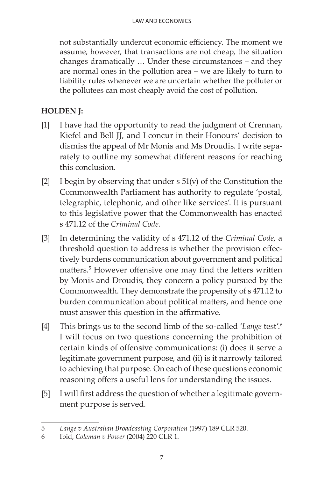not substantially undercut economic efficiency. The moment we assume, however, that transactions are not cheap, the situation changes dramatically … Under these circumstances – and they are normal ones in the pollution area – we are likely to turn to liability rules whenever we are uncertain whether the polluter or the pollutees can most cheaply avoid the cost of pollution.

## **HOLDEN J:**

- [1] I have had the opportunity to read the judgment of Crennan, Kiefel and Bell II, and I concur in their Honours' decision to dismiss the appeal of Mr Monis and Ms Droudis. I write separately to outline my somewhat different reasons for reaching this conclusion.
- [2] I begin by observing that under  $s$  51(v) of the Constitution the Commonwealth Parliament has authority to regulate 'postal, telegraphic, telephonic, and other like services'. It is pursuant to this legislative power that the Commonwealth has enacted s 471.12 of the *Criminal Code*.
- [3] In determining the validity of s 471.12 of the *Criminal Code*, a threshold question to address is whether the provision effectively burdens communication about government and political matters.<sup>5</sup> However offensive one may find the letters written by Monis and Droudis, they concern a policy pursued by the Commonwealth. They demonstrate the propensity of s 471.12 to burden communication about political matters, and hence one must answer this question in the affirmative.
- [4] This brings us to the second limb of the so-called '*Lange* test'.6 I will focus on two questions concerning the prohibition of certain kinds of offensive communications: (i) does it serve a legitimate government purpose, and (ii) is it narrowly tailored to achieving that purpose. On each of these questions economic reasoning offers a useful lens for understanding the issues.
- [5] I will first address the question of whether a legitimate government purpose is served.

<sup>5</sup> *Lange v Australian Broadcasting Corporation* (1997) 189 CLR 520.

<sup>6</sup> Ibid, *Coleman v Power* (2004) 220 CLR 1.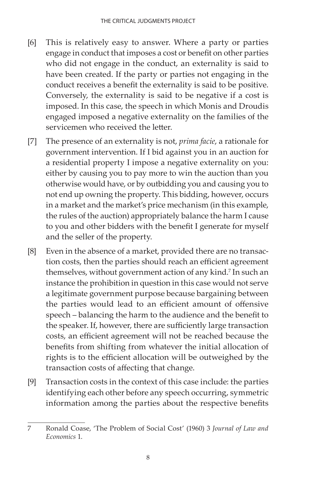- [6] This is relatively easy to answer. Where a party or parties engage in conduct that imposes a cost or benefit on other parties who did not engage in the conduct, an externality is said to have been created. If the party or parties not engaging in the conduct receives a benefit the externality is said to be positive. Conversely, the externality is said to be negative if a cost is imposed. In this case, the speech in which Monis and Droudis engaged imposed a negative externality on the families of the servicemen who received the letter.
- [7] The presence of an externality is not, *prima facie*, a rationale for government intervention. If I bid against you in an auction for a residential property I impose a negative externality on you: either by causing you to pay more to win the auction than you otherwise would have, or by outbidding you and causing you to not end up owning the property. This bidding, however, occurs in a market and the market's price mechanism (in this example, the rules of the auction) appropriately balance the harm I cause to you and other bidders with the benefit I generate for myself and the seller of the property.
- [8] Even in the absence of a market, provided there are no transaction costs, then the parties should reach an efficient agreement themselves, without government action of any kind.<sup>7</sup> In such an instance the prohibition in question in this case would not serve a legitimate government purpose because bargaining between the parties would lead to an efficient amount of offensive speech – balancing the harm to the audience and the benefit to the speaker. If, however, there are sufficiently large transaction costs, an efficient agreement will not be reached because the benefits from shifting from whatever the initial allocation of rights is to the efficient allocation will be outweighed by the transaction costs of affecting that change.
- [9] Transaction costs in the context of this case include: the parties identifying each other before any speech occurring, symmetric information among the parties about the respective benefits

<sup>7</sup> Ronald Coase, 'The Problem of Social Cost' (1960) 3 *Journal of Law and Economics* 1.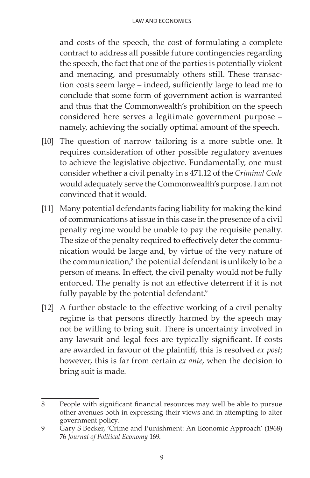and costs of the speech, the cost of formulating a complete contract to address all possible future contingencies regarding the speech, the fact that one of the parties is potentially violent and menacing, and presumably others still. These transaction costs seem large – indeed, sufficiently large to lead me to conclude that some form of government action is warranted and thus that the Commonwealth's prohibition on the speech considered here serves a legitimate government purpose – namely, achieving the socially optimal amount of the speech.

- [10] The question of narrow tailoring is a more subtle one. It requires consideration of other possible regulatory avenues to achieve the legislative objective. Fundamentally, one must consider whether a civil penalty in s 471.12 of the *Criminal Code* would adequately serve the Commonwealth's purpose. I am not convinced that it would.
- [11] Many potential defendants facing liability for making the kind of communications at issue in this case in the presence of a civil penalty regime would be unable to pay the requisite penalty. The size of the penalty required to effectively deter the communication would be large and, by virtue of the very nature of the communication, $^8$  the potential defendant is unlikely to be a person of means. In effect, the civil penalty would not be fully enforced. The penalty is not an effective deterrent if it is not fully payable by the potential defendant.<sup>9</sup>
- [12] A further obstacle to the effective working of a civil penalty regime is that persons directly harmed by the speech may not be willing to bring suit. There is uncertainty involved in any lawsuit and legal fees are typically significant. If costs are awarded in favour of the plaintiff, this is resolved *ex post*; however, this is far from certain *ex ante*, when the decision to bring suit is made.

<sup>8</sup> People with significant financial resources may well be able to pursue other avenues both in expressing their views and in attempting to alter government policy.

<sup>9</sup> Gary S Becker, 'Crime and Punishment: An Economic Approach' (1968) 76 *Journal of Political Economy* 169.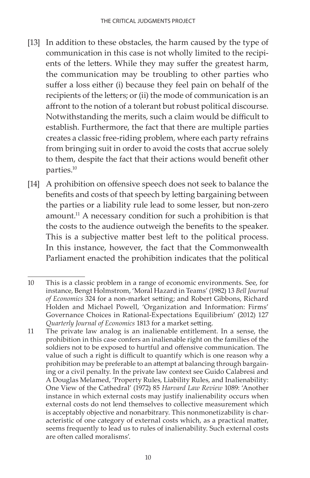- [13] In addition to these obstacles, the harm caused by the type of communication in this case is not wholly limited to the recipients of the letters. While they may suffer the greatest harm, the communication may be troubling to other parties who suffer a loss either (i) because they feel pain on behalf of the recipients of the letters; or (ii) the mode of communication is an affront to the notion of a tolerant but robust political discourse. Notwithstanding the merits, such a claim would be difficult to establish. Furthermore, the fact that there are multiple parties creates a classic free-riding problem, where each party refrains from bringing suit in order to avoid the costs that accrue solely to them, despite the fact that their actions would benefit other parties.10
- [14] A prohibition on offensive speech does not seek to balance the benefits and costs of that speech by letting bargaining between the parties or a liability rule lead to some lesser, but non-zero amount.11 A necessary condition for such a prohibition is that the costs to the audience outweigh the benefits to the speaker. This is a subjective matter best left to the political process. In this instance, however, the fact that the Commonwealth Parliament enacted the prohibition indicates that the political
- 10 This is a classic problem in a range of economic environments. See, for instance, Bengt Holmstrom, 'Moral Hazard in Teams' (1982) 13 *Bell Journal of Economics* 324 for a non-market setting; and Robert Gibbons, Richard Holden and Michael Powell, 'Organization and Information: Firms' Governance Choices in Rational-Expectations Equilibrium' (2012) 127 *Quarterly Journal of Economics* 1813 for a market setting.
- 11 The private law analog is an inalienable entitlement. In a sense, the prohibition in this case confers an inalienable right on the families of the soldiers not to be exposed to hurtful and offensive communication. The value of such a right is difficult to quantify which is one reason why a prohibition may be preferable to an attempt at balancing through bargaining or a civil penalty. In the private law context see Guido Calabresi and A Douglas Melamed, 'Property Rules, Liability Rules, and Inalienability: One View of the Cathedral' (1972) 85 *Harvard Law Review* 1089: 'Another instance in which external costs may justify inalienability occurs when external costs do not lend themselves to collective measurement which is acceptably objective and nonarbitrary. This nonmonetizability is characteristic of one category of external costs which, as a practical matter, seems frequently to lead us to rules of inalienability. Such external costs are often called moralisms'.